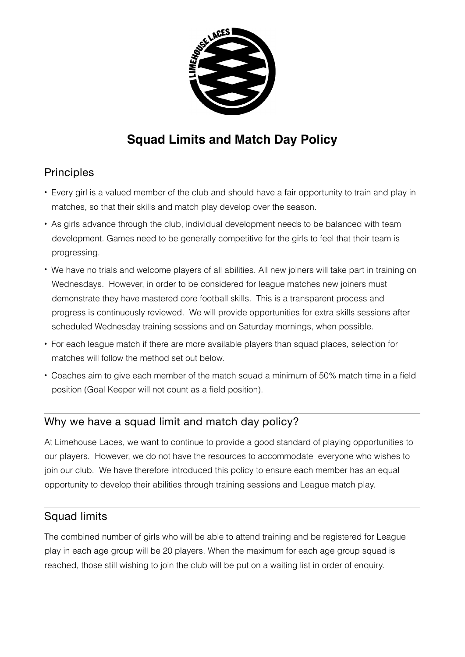

## **Squad Limits and Match Day Policy**

## **Principles**

- Every girl is a valued member of the club and should have a fair opportunity to train and play in matches, so that their skills and match play develop over the season.
- As girls advance through the club, individual development needs to be balanced with team development. Games need to be generally competitive for the girls to feel that their team is progressing.
- We have no trials and welcome players of all abilities. All new joiners will take part in training on Wednesdays. However, in order to be considered for league matches new joiners must demonstrate they have mastered core football skills. This is a transparent process and progress is continuously reviewed. We will provide opportunities for extra skills sessions after scheduled Wednesday training sessions and on Saturday mornings, when possible.
- For each league match if there are more available players than squad places, selection for matches will follow the method set out below.
- Coaches aim to give each member of the match squad a minimum of 50% match time in a field position (Goal Keeper will not count as a field position).

## Why we have a squad limit and match day policy?

At Limehouse Laces, we want to continue to provide a good standard of playing opportunities to our players. However, we do not have the resources to accommodate everyone who wishes to join our club. We have therefore introduced this policy to ensure each member has an equal opportunity to develop their abilities through training sessions and League match play.

## Squad limits

The combined number of girls who will be able to attend training and be registered for League play in each age group will be 20 players. When the maximum for each age group squad is reached, those still wishing to join the club will be put on a waiting list in order of enquiry.